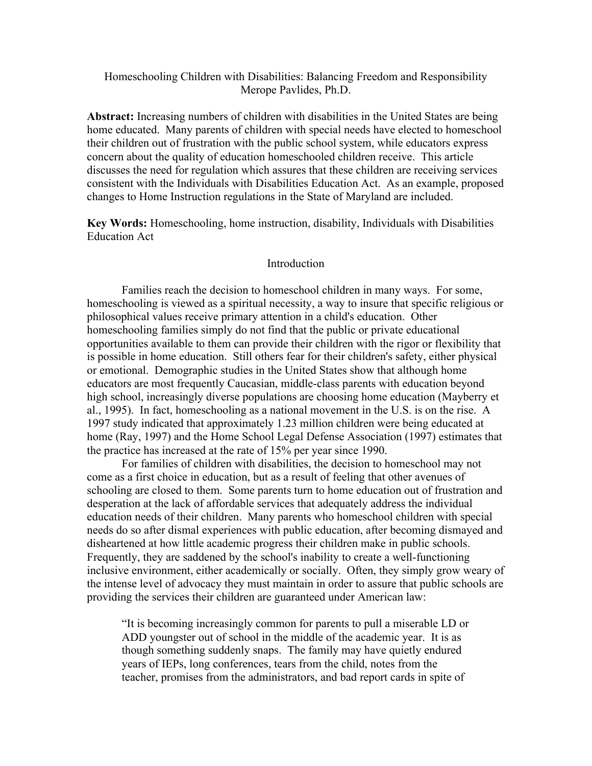## Homeschooling Children with Disabilities: Balancing Freedom and Responsibility Merope Pavlides, Ph.D.

**Abstract:** Increasing numbers of children with disabilities in the United States are being home educated. Many parents of children with special needs have elected to homeschool their children out of frustration with the public school system, while educators express concern about the quality of education homeschooled children receive. This article discusses the need for regulation which assures that these children are receiving services consistent with the Individuals with Disabilities Education Act. As an example, proposed changes to Home Instruction regulations in the State of Maryland are included.

**Key Words:** Homeschooling, home instruction, disability, Individuals with Disabilities Education Act

## **Introduction**

Families reach the decision to homeschool children in many ways. For some, homeschooling is viewed as a spiritual necessity, a way to insure that specific religious or philosophical values receive primary attention in a child's education. Other homeschooling families simply do not find that the public or private educational opportunities available to them can provide their children with the rigor or flexibility that is possible in home education. Still others fear for their children's safety, either physical or emotional. Demographic studies in the United States show that although home educators are most frequently Caucasian, middle-class parents with education beyond high school, increasingly diverse populations are choosing home education (Mayberry et al., 1995). In fact, homeschooling as a national movement in the U.S. is on the rise. A 1997 study indicated that approximately 1.23 million children were being educated at home (Ray, 1997) and the Home School Legal Defense Association (1997) estimates that the practice has increased at the rate of 15% per year since 1990.

For families of children with disabilities, the decision to homeschool may not come as a first choice in education, but as a result of feeling that other avenues of schooling are closed to them. Some parents turn to home education out of frustration and desperation at the lack of affordable services that adequately address the individual education needs of their children. Many parents who homeschool children with special needs do so after dismal experiences with public education, after becoming dismayed and disheartened at how little academic progress their children make in public schools. Frequently, they are saddened by the school's inability to create a well-functioning inclusive environment, either academically or socially. Often, they simply grow weary of the intense level of advocacy they must maintain in order to assure that public schools are providing the services their children are guaranteed under American law:

"It is becoming increasingly common for parents to pull a miserable LD or ADD youngster out of school in the middle of the academic year. It is as though something suddenly snaps. The family may have quietly endured years of IEPs, long conferences, tears from the child, notes from the teacher, promises from the administrators, and bad report cards in spite of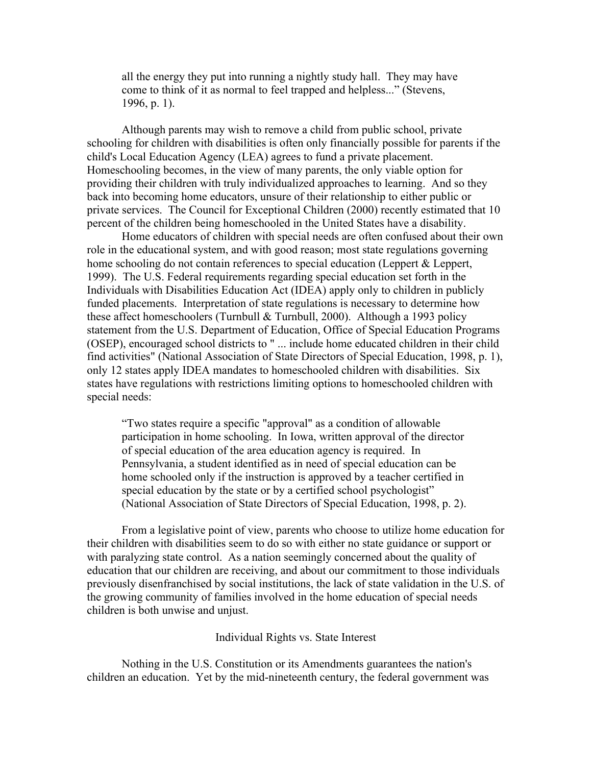all the energy they put into running a nightly study hall. They may have come to think of it as normal to feel trapped and helpless..." (Stevens, 1996, p. 1).

Although parents may wish to remove a child from public school, private schooling for children with disabilities is often only financially possible for parents if the child's Local Education Agency (LEA) agrees to fund a private placement. Homeschooling becomes, in the view of many parents, the only viable option for providing their children with truly individualized approaches to learning. And so they back into becoming home educators, unsure of their relationship to either public or private services. The Council for Exceptional Children (2000) recently estimated that 10 percent of the children being homeschooled in the United States have a disability.

Home educators of children with special needs are often confused about their own role in the educational system, and with good reason; most state regulations governing home schooling do not contain references to special education (Leppert & Leppert, 1999). The U.S. Federal requirements regarding special education set forth in the Individuals with Disabilities Education Act (IDEA) apply only to children in publicly funded placements. Interpretation of state regulations is necessary to determine how these affect homeschoolers (Turnbull  $&$  Turnbull, 2000). Although a 1993 policy statement from the U.S. Department of Education, Office of Special Education Programs (OSEP), encouraged school districts to " ... include home educated children in their child find activities" (National Association of State Directors of Special Education, 1998, p. 1), only 12 states apply IDEA mandates to homeschooled children with disabilities. Six states have regulations with restrictions limiting options to homeschooled children with special needs:

"Two states require a specific "approval" as a condition of allowable participation in home schooling. In Iowa, written approval of the director of special education of the area education agency is required. In Pennsylvania, a student identified as in need of special education can be home schooled only if the instruction is approved by a teacher certified in special education by the state or by a certified school psychologist" (National Association of State Directors of Special Education, 1998, p. 2).

From a legislative point of view, parents who choose to utilize home education for their children with disabilities seem to do so with either no state guidance or support or with paralyzing state control. As a nation seemingly concerned about the quality of education that our children are receiving, and about our commitment to those individuals previously disenfranchised by social institutions, the lack of state validation in the U.S. of the growing community of families involved in the home education of special needs children is both unwise and unjust.

#### Individual Rights vs. State Interest

Nothing in the U.S. Constitution or its Amendments guarantees the nation's children an education. Yet by the mid-nineteenth century, the federal government was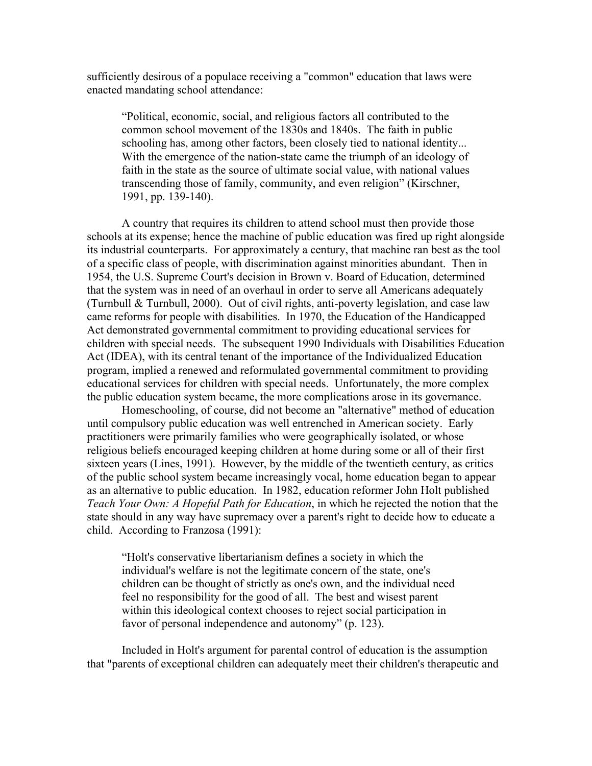sufficiently desirous of a populace receiving a "common" education that laws were enacted mandating school attendance:

"Political, economic, social, and religious factors all contributed to the common school movement of the 1830s and 1840s. The faith in public schooling has, among other factors, been closely tied to national identity... With the emergence of the nation-state came the triumph of an ideology of faith in the state as the source of ultimate social value, with national values transcending those of family, community, and even religion" (Kirschner, 1991, pp. 139-140).

A country that requires its children to attend school must then provide those schools at its expense; hence the machine of public education was fired up right alongside its industrial counterparts. For approximately a century, that machine ran best as the tool of a specific class of people, with discrimination against minorities abundant. Then in 1954, the U.S. Supreme Court's decision in Brown v. Board of Education, determined that the system was in need of an overhaul in order to serve all Americans adequately (Turnbull & Turnbull, 2000). Out of civil rights, anti-poverty legislation, and case law came reforms for people with disabilities. In 1970, the Education of the Handicapped Act demonstrated governmental commitment to providing educational services for children with special needs. The subsequent 1990 Individuals with Disabilities Education Act (IDEA), with its central tenant of the importance of the Individualized Education program, implied a renewed and reformulated governmental commitment to providing educational services for children with special needs. Unfortunately, the more complex the public education system became, the more complications arose in its governance.

Homeschooling, of course, did not become an "alternative" method of education until compulsory public education was well entrenched in American society. Early practitioners were primarily families who were geographically isolated, or whose religious beliefs encouraged keeping children at home during some or all of their first sixteen years (Lines, 1991). However, by the middle of the twentieth century, as critics of the public school system became increasingly vocal, home education began to appear as an alternative to public education. In 1982, education reformer John Holt published *Teach Your Own: A Hopeful Path for Education*, in which he rejected the notion that the state should in any way have supremacy over a parent's right to decide how to educate a child. According to Franzosa (1991):

"Holt's conservative libertarianism defines a society in which the individual's welfare is not the legitimate concern of the state, one's children can be thought of strictly as one's own, and the individual need feel no responsibility for the good of all. The best and wisest parent within this ideological context chooses to reject social participation in favor of personal independence and autonomy" (p. 123).

Included in Holt's argument for parental control of education is the assumption that "parents of exceptional children can adequately meet their children's therapeutic and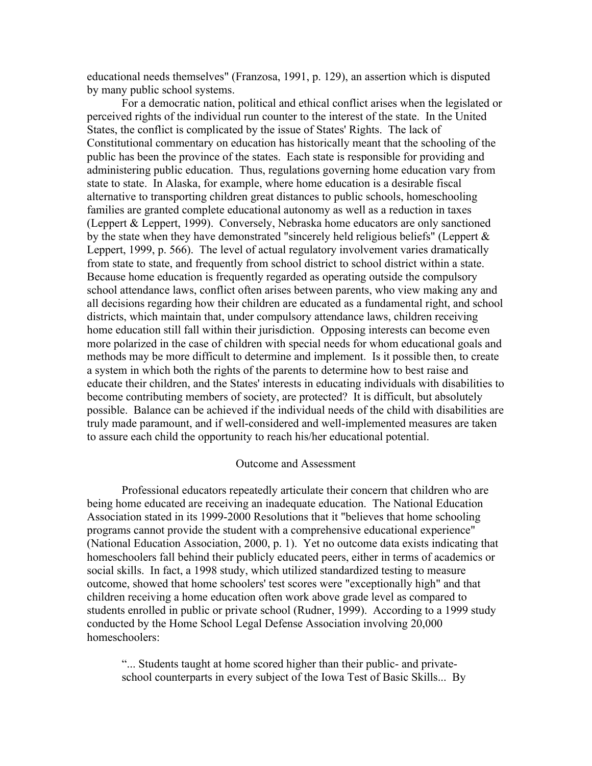educational needs themselves" (Franzosa, 1991, p. 129), an assertion which is disputed by many public school systems.

For a democratic nation, political and ethical conflict arises when the legislated or perceived rights of the individual run counter to the interest of the state. In the United States, the conflict is complicated by the issue of States' Rights. The lack of Constitutional commentary on education has historically meant that the schooling of the public has been the province of the states. Each state is responsible for providing and administering public education. Thus, regulations governing home education vary from state to state. In Alaska, for example, where home education is a desirable fiscal alternative to transporting children great distances to public schools, homeschooling families are granted complete educational autonomy as well as a reduction in taxes (Leppert & Leppert, 1999). Conversely, Nebraska home educators are only sanctioned by the state when they have demonstrated "sincerely held religious beliefs" (Leppert  $\&$ Leppert, 1999, p. 566). The level of actual regulatory involvement varies dramatically from state to state, and frequently from school district to school district within a state. Because home education is frequently regarded as operating outside the compulsory school attendance laws, conflict often arises between parents, who view making any and all decisions regarding how their children are educated as a fundamental right, and school districts, which maintain that, under compulsory attendance laws, children receiving home education still fall within their jurisdiction. Opposing interests can become even more polarized in the case of children with special needs for whom educational goals and methods may be more difficult to determine and implement. Is it possible then, to create a system in which both the rights of the parents to determine how to best raise and educate their children, and the States' interests in educating individuals with disabilities to become contributing members of society, are protected? It is difficult, but absolutely possible. Balance can be achieved if the individual needs of the child with disabilities are truly made paramount, and if well-considered and well-implemented measures are taken to assure each child the opportunity to reach his/her educational potential.

### Outcome and Assessment

Professional educators repeatedly articulate their concern that children who are being home educated are receiving an inadequate education. The National Education Association stated in its 1999-2000 Resolutions that it "believes that home schooling programs cannot provide the student with a comprehensive educational experience" (National Education Association, 2000, p. 1). Yet no outcome data exists indicating that homeschoolers fall behind their publicly educated peers, either in terms of academics or social skills. In fact, a 1998 study, which utilized standardized testing to measure outcome, showed that home schoolers' test scores were "exceptionally high" and that children receiving a home education often work above grade level as compared to students enrolled in public or private school (Rudner, 1999). According to a 1999 study conducted by the Home School Legal Defense Association involving 20,000 homeschoolers:

"... Students taught at home scored higher than their public- and privateschool counterparts in every subject of the Iowa Test of Basic Skills... By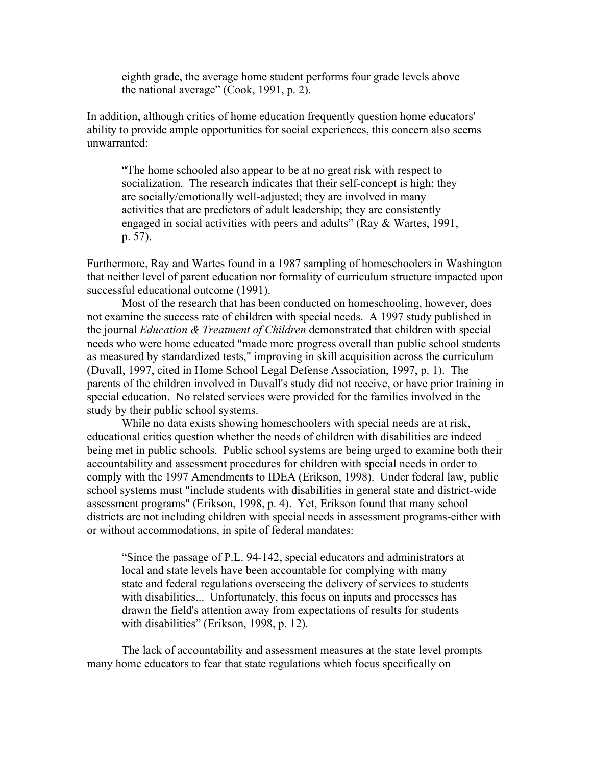eighth grade, the average home student performs four grade levels above the national average" (Cook, 1991, p. 2).

In addition, although critics of home education frequently question home educators' ability to provide ample opportunities for social experiences, this concern also seems unwarranted:

"The home schooled also appear to be at no great risk with respect to socialization. The research indicates that their self-concept is high; they are socially/emotionally well-adjusted; they are involved in many activities that are predictors of adult leadership; they are consistently engaged in social activities with peers and adults" (Ray & Wartes, 1991, p. 57).

Furthermore, Ray and Wartes found in a 1987 sampling of homeschoolers in Washington that neither level of parent education nor formality of curriculum structure impacted upon successful educational outcome (1991).

Most of the research that has been conducted on homeschooling, however, does not examine the success rate of children with special needs. A 1997 study published in the journal *Education & Treatment of Children* demonstrated that children with special needs who were home educated "made more progress overall than public school students as measured by standardized tests," improving in skill acquisition across the curriculum (Duvall, 1997, cited in Home School Legal Defense Association, 1997, p. 1). The parents of the children involved in Duvall's study did not receive, or have prior training in special education. No related services were provided for the families involved in the study by their public school systems.

While no data exists showing homeschoolers with special needs are at risk, educational critics question whether the needs of children with disabilities are indeed being met in public schools. Public school systems are being urged to examine both their accountability and assessment procedures for children with special needs in order to comply with the 1997 Amendments to IDEA (Erikson, 1998). Under federal law, public school systems must "include students with disabilities in general state and district-wide assessment programs" (Erikson, 1998, p. 4). Yet, Erikson found that many school districts are not including children with special needs in assessment programs-either with or without accommodations, in spite of federal mandates:

"Since the passage of P.L. 94-142, special educators and administrators at local and state levels have been accountable for complying with many state and federal regulations overseeing the delivery of services to students with disabilities... Unfortunately, this focus on inputs and processes has drawn the field's attention away from expectations of results for students with disabilities" (Erikson, 1998, p. 12).

The lack of accountability and assessment measures at the state level prompts many home educators to fear that state regulations which focus specifically on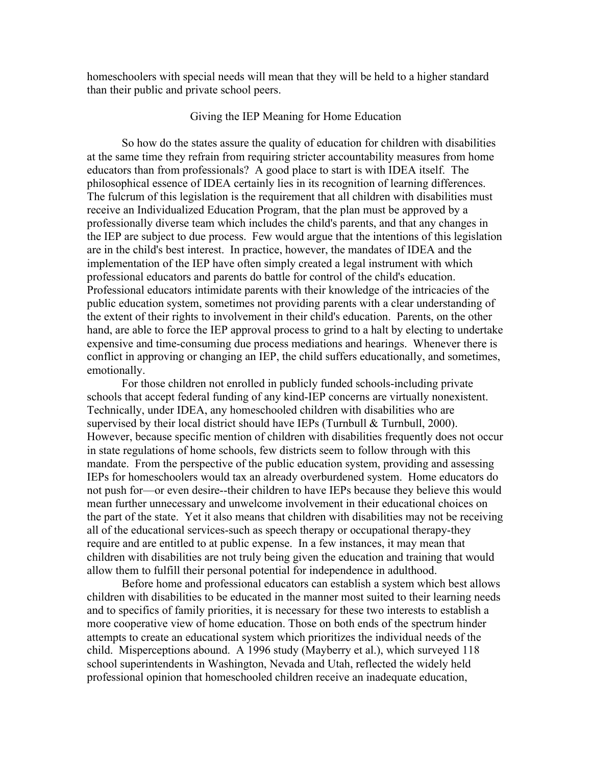homeschoolers with special needs will mean that they will be held to a higher standard than their public and private school peers.

## Giving the IEP Meaning for Home Education

So how do the states assure the quality of education for children with disabilities at the same time they refrain from requiring stricter accountability measures from home educators than from professionals? A good place to start is with IDEA itself. The philosophical essence of IDEA certainly lies in its recognition of learning differences. The fulcrum of this legislation is the requirement that all children with disabilities must receive an Individualized Education Program, that the plan must be approved by a professionally diverse team which includes the child's parents, and that any changes in the IEP are subject to due process. Few would argue that the intentions of this legislation are in the child's best interest. In practice, however, the mandates of IDEA and the implementation of the IEP have often simply created a legal instrument with which professional educators and parents do battle for control of the child's education. Professional educators intimidate parents with their knowledge of the intricacies of the public education system, sometimes not providing parents with a clear understanding of the extent of their rights to involvement in their child's education. Parents, on the other hand, are able to force the IEP approval process to grind to a halt by electing to undertake expensive and time-consuming due process mediations and hearings. Whenever there is conflict in approving or changing an IEP, the child suffers educationally, and sometimes, emotionally.

For those children not enrolled in publicly funded schools-including private schools that accept federal funding of any kind-IEP concerns are virtually nonexistent. Technically, under IDEA, any homeschooled children with disabilities who are supervised by their local district should have IEPs (Turnbull  $&$  Turnbull, 2000). However, because specific mention of children with disabilities frequently does not occur in state regulations of home schools, few districts seem to follow through with this mandate. From the perspective of the public education system, providing and assessing IEPs for homeschoolers would tax an already overburdened system. Home educators do not push for—or even desire--their children to have IEPs because they believe this would mean further unnecessary and unwelcome involvement in their educational choices on the part of the state. Yet it also means that children with disabilities may not be receiving all of the educational services-such as speech therapy or occupational therapy-they require and are entitled to at public expense. In a few instances, it may mean that children with disabilities are not truly being given the education and training that would allow them to fulfill their personal potential for independence in adulthood.

Before home and professional educators can establish a system which best allows children with disabilities to be educated in the manner most suited to their learning needs and to specifics of family priorities, it is necessary for these two interests to establish a more cooperative view of home education. Those on both ends of the spectrum hinder attempts to create an educational system which prioritizes the individual needs of the child. Misperceptions abound. A 1996 study (Mayberry et al.), which surveyed 118 school superintendents in Washington, Nevada and Utah, reflected the widely held professional opinion that homeschooled children receive an inadequate education,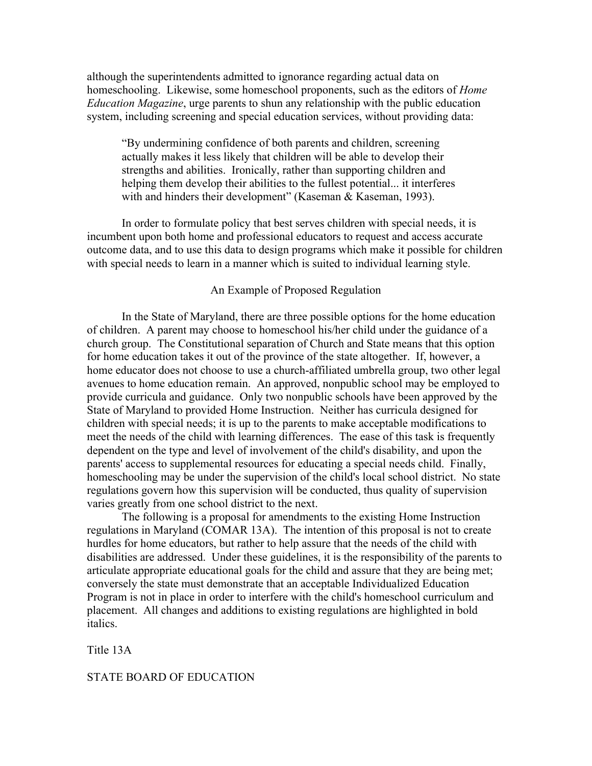although the superintendents admitted to ignorance regarding actual data on homeschooling. Likewise, some homeschool proponents, such as the editors of *Home Education Magazine*, urge parents to shun any relationship with the public education system, including screening and special education services, without providing data:

"By undermining confidence of both parents and children, screening actually makes it less likely that children will be able to develop their strengths and abilities. Ironically, rather than supporting children and helping them develop their abilities to the fullest potential... it interferes with and hinders their development" (Kaseman & Kaseman, 1993).

In order to formulate policy that best serves children with special needs, it is incumbent upon both home and professional educators to request and access accurate outcome data, and to use this data to design programs which make it possible for children with special needs to learn in a manner which is suited to individual learning style.

#### An Example of Proposed Regulation

In the State of Maryland, there are three possible options for the home education of children. A parent may choose to homeschool his/her child under the guidance of a church group. The Constitutional separation of Church and State means that this option for home education takes it out of the province of the state altogether. If, however, a home educator does not choose to use a church-affiliated umbrella group, two other legal avenues to home education remain. An approved, nonpublic school may be employed to provide curricula and guidance. Only two nonpublic schools have been approved by the State of Maryland to provided Home Instruction. Neither has curricula designed for children with special needs; it is up to the parents to make acceptable modifications to meet the needs of the child with learning differences. The ease of this task is frequently dependent on the type and level of involvement of the child's disability, and upon the parents' access to supplemental resources for educating a special needs child. Finally, homeschooling may be under the supervision of the child's local school district. No state regulations govern how this supervision will be conducted, thus quality of supervision varies greatly from one school district to the next.

The following is a proposal for amendments to the existing Home Instruction regulations in Maryland (COMAR 13A). The intention of this proposal is not to create hurdles for home educators, but rather to help assure that the needs of the child with disabilities are addressed. Under these guidelines, it is the responsibility of the parents to articulate appropriate educational goals for the child and assure that they are being met; conversely the state must demonstrate that an acceptable Individualized Education Program is not in place in order to interfere with the child's homeschool curriculum and placement. All changes and additions to existing regulations are highlighted in bold italics.

Title 13A

### STATE BOARD OF EDUCATION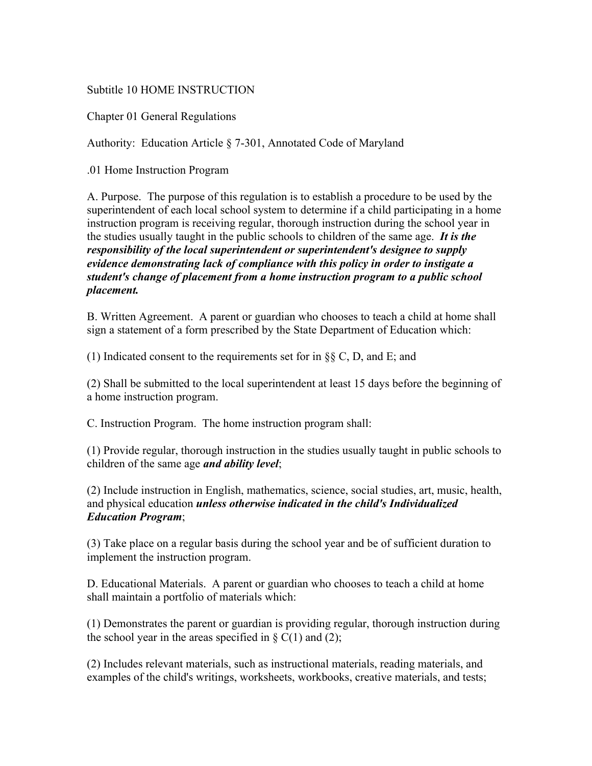# Subtitle 10 HOME INSTRUCTION

Chapter 01 General Regulations

Authority: Education Article § 7-301, Annotated Code of Maryland

.01 Home Instruction Program

A. Purpose. The purpose of this regulation is to establish a procedure to be used by the superintendent of each local school system to determine if a child participating in a home instruction program is receiving regular, thorough instruction during the school year in the studies usually taught in the public schools to children of the same age. *It is the responsibility of the local superintendent or superintendent's designee to supply evidence demonstrating lack of compliance with this policy in order to instigate a student's change of placement from a home instruction program to a public school placement.* 

B. Written Agreement. A parent or guardian who chooses to teach a child at home shall sign a statement of a form prescribed by the State Department of Education which:

(1) Indicated consent to the requirements set for in §§ C, D, and E; and

(2) Shall be submitted to the local superintendent at least 15 days before the beginning of a home instruction program.

C. Instruction Program. The home instruction program shall:

(1) Provide regular, thorough instruction in the studies usually taught in public schools to children of the same age *and ability level*;

(2) Include instruction in English, mathematics, science, social studies, art, music, health, and physical education *unless otherwise indicated in the child's Individualized Education Program*;

(3) Take place on a regular basis during the school year and be of sufficient duration to implement the instruction program.

D. Educational Materials. A parent or guardian who chooses to teach a child at home shall maintain a portfolio of materials which:

(1) Demonstrates the parent or guardian is providing regular, thorough instruction during the school year in the areas specified in  $\S$  C(1) and (2);

(2) Includes relevant materials, such as instructional materials, reading materials, and examples of the child's writings, worksheets, workbooks, creative materials, and tests;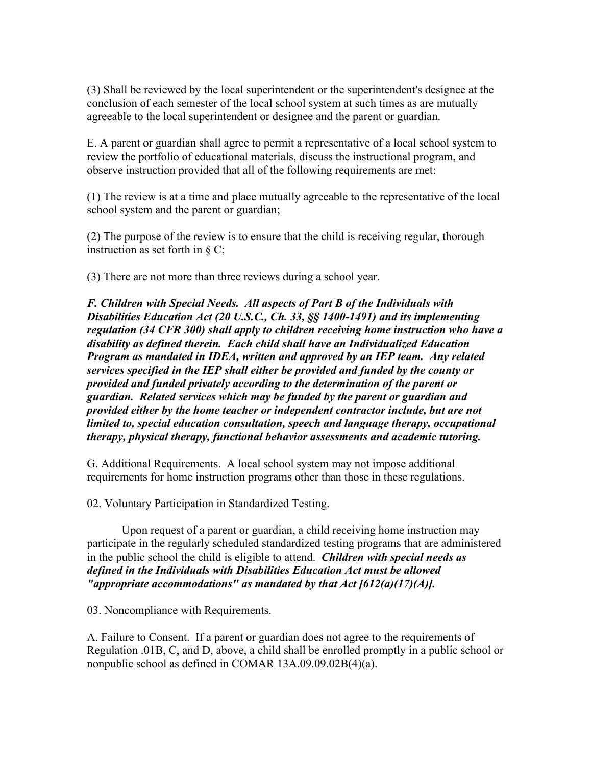(3) Shall be reviewed by the local superintendent or the superintendent's designee at the conclusion of each semester of the local school system at such times as are mutually agreeable to the local superintendent or designee and the parent or guardian.

E. A parent or guardian shall agree to permit a representative of a local school system to review the portfolio of educational materials, discuss the instructional program, and observe instruction provided that all of the following requirements are met:

(1) The review is at a time and place mutually agreeable to the representative of the local school system and the parent or guardian;

(2) The purpose of the review is to ensure that the child is receiving regular, thorough instruction as set forth in § C;

(3) There are not more than three reviews during a school year.

*F. Children with Special Needs. All aspects of Part B of the Individuals with Disabilities Education Act (20 U.S.C., Ch. 33, §§ 1400-1491) and its implementing regulation (34 CFR 300) shall apply to children receiving home instruction who have a disability as defined therein. Each child shall have an Individualized Education Program as mandated in IDEA, written and approved by an IEP team. Any related services specified in the IEP shall either be provided and funded by the county or provided and funded privately according to the determination of the parent or guardian. Related services which may be funded by the parent or guardian and provided either by the home teacher or independent contractor include, but are not limited to, special education consultation, speech and language therapy, occupational therapy, physical therapy, functional behavior assessments and academic tutoring.*

G. Additional Requirements. A local school system may not impose additional requirements for home instruction programs other than those in these regulations.

02. Voluntary Participation in Standardized Testing.

Upon request of a parent or guardian, a child receiving home instruction may participate in the regularly scheduled standardized testing programs that are administered in the public school the child is eligible to attend. *Children with special needs as defined in the Individuals with Disabilities Education Act must be allowed "appropriate accommodations" as mandated by that Act [612(a)(17)(A)].*

03. Noncompliance with Requirements.

A. Failure to Consent. If a parent or guardian does not agree to the requirements of Regulation .01B, C, and D, above, a child shall be enrolled promptly in a public school or nonpublic school as defined in COMAR 13A.09.09.02B(4)(a).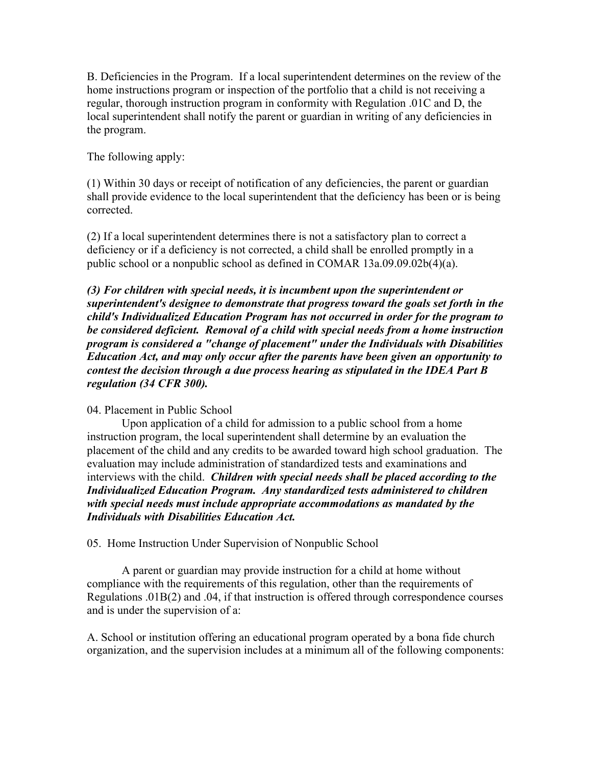B. Deficiencies in the Program. If a local superintendent determines on the review of the home instructions program or inspection of the portfolio that a child is not receiving a regular, thorough instruction program in conformity with Regulation .01C and D, the local superintendent shall notify the parent or guardian in writing of any deficiencies in the program.

The following apply:

(1) Within 30 days or receipt of notification of any deficiencies, the parent or guardian shall provide evidence to the local superintendent that the deficiency has been or is being corrected.

(2) If a local superintendent determines there is not a satisfactory plan to correct a deficiency or if a deficiency is not corrected, a child shall be enrolled promptly in a public school or a nonpublic school as defined in COMAR 13a.09.09.02b(4)(a).

*(3) For children with special needs, it is incumbent upon the superintendent or superintendent's designee to demonstrate that progress toward the goals set forth in the child's Individualized Education Program has not occurred in order for the program to be considered deficient. Removal of a child with special needs from a home instruction program is considered a "change of placement" under the Individuals with Disabilities Education Act, and may only occur after the parents have been given an opportunity to contest the decision through a due process hearing as stipulated in the IDEA Part B regulation (34 CFR 300).*

### 04. Placement in Public School

Upon application of a child for admission to a public school from a home instruction program, the local superintendent shall determine by an evaluation the placement of the child and any credits to be awarded toward high school graduation. The evaluation may include administration of standardized tests and examinations and interviews with the child. *Children with special needs shall be placed according to the Individualized Education Program. Any standardized tests administered to children with special needs must include appropriate accommodations as mandated by the Individuals with Disabilities Education Act.*

05. Home Instruction Under Supervision of Nonpublic School

A parent or guardian may provide instruction for a child at home without compliance with the requirements of this regulation, other than the requirements of Regulations .01B(2) and .04, if that instruction is offered through correspondence courses and is under the supervision of a:

A. School or institution offering an educational program operated by a bona fide church organization, and the supervision includes at a minimum all of the following components: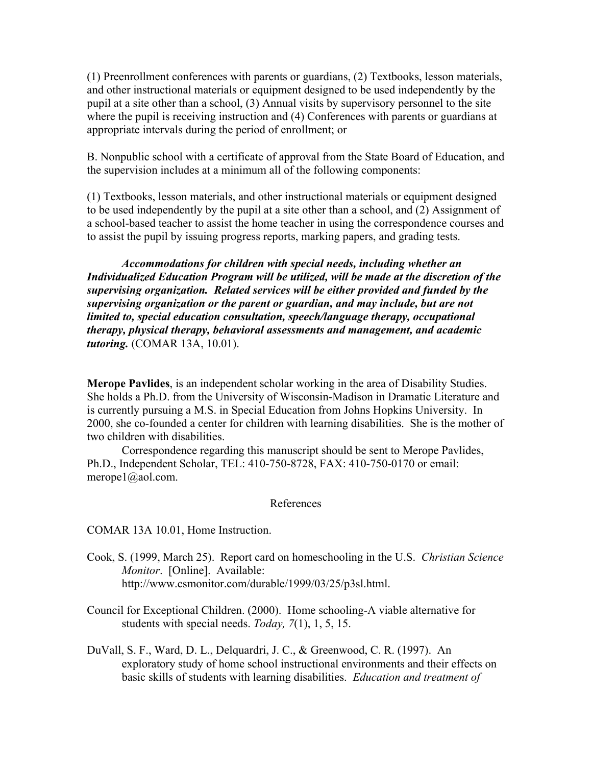(1) Preenrollment conferences with parents or guardians, (2) Textbooks, lesson materials, and other instructional materials or equipment designed to be used independently by the pupil at a site other than a school, (3) Annual visits by supervisory personnel to the site where the pupil is receiving instruction and (4) Conferences with parents or guardians at appropriate intervals during the period of enrollment; or

B. Nonpublic school with a certificate of approval from the State Board of Education, and the supervision includes at a minimum all of the following components:

(1) Textbooks, lesson materials, and other instructional materials or equipment designed to be used independently by the pupil at a site other than a school, and (2) Assignment of a school-based teacher to assist the home teacher in using the correspondence courses and to assist the pupil by issuing progress reports, marking papers, and grading tests.

*Accommodations for children with special needs, including whether an Individualized Education Program will be utilized, will be made at the discretion of the supervising organization. Related services will be either provided and funded by the supervising organization or the parent or guardian, and may include, but are not limited to, special education consultation, speech/language therapy, occupational therapy, physical therapy, behavioral assessments and management, and academic tutoring.* (COMAR 13A, 10.01).

**Merope Pavlides**, is an independent scholar working in the area of Disability Studies. She holds a Ph.D. from the University of Wisconsin-Madison in Dramatic Literature and is currently pursuing a M.S. in Special Education from Johns Hopkins University. In 2000, she co-founded a center for children with learning disabilities. She is the mother of two children with disabilities.

Correspondence regarding this manuscript should be sent to Merope Pavlides, Ph.D., Independent Scholar, TEL: 410-750-8728, FAX: 410-750-0170 or email: merope1@aol.com.

## References

COMAR 13A 10.01, Home Instruction.

- Cook, S. (1999, March 25). Report card on homeschooling in the U.S. *Christian Science Monitor*. [Online]. Available: http://www.csmonitor.com/durable/1999/03/25/p3sl.html.
- Council for Exceptional Children. (2000). Home schooling-A viable alternative for students with special needs. *Today, 7*(1), 1, 5, 15.
- DuVall, S. F., Ward, D. L., Delquardri, J. C., & Greenwood, C. R. (1997). An exploratory study of home school instructional environments and their effects on basic skills of students with learning disabilities. *Education and treatment of*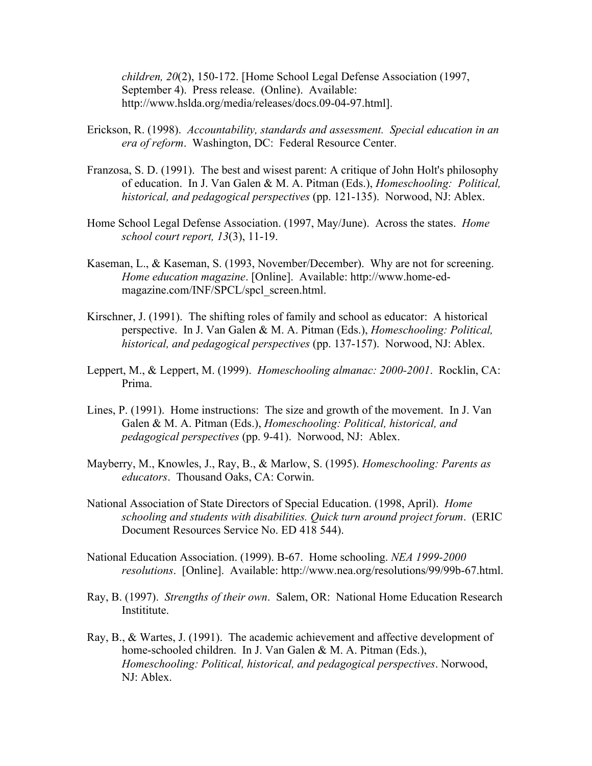*children, 20*(2), 150-172. [Home School Legal Defense Association (1997, September 4). Press release. (Online). Available: http://www.hslda.org/media/releases/docs.09-04-97.html].

- Erickson, R. (1998). *Accountability, standards and assessment. Special education in an era of reform*. Washington, DC: Federal Resource Center.
- Franzosa, S. D. (1991). The best and wisest parent: A critique of John Holt's philosophy of education. In J. Van Galen & M. A. Pitman (Eds.), *Homeschooling: Political, historical, and pedagogical perspectives* (pp. 121-135). Norwood, NJ: Ablex.
- Home School Legal Defense Association. (1997, May/June). Across the states. *Home school court report, 13*(3), 11-19.
- Kaseman, L., & Kaseman, S. (1993, November/December). Why are not for screening. *Home education magazine*. [Online]. Available: http://www.home-edmagazine.com/INF/SPCL/spcl\_screen.html.
- Kirschner, J. (1991). The shifting roles of family and school as educator: A historical perspective. In J. Van Galen & M. A. Pitman (Eds.), *Homeschooling: Political, historical, and pedagogical perspectives* (pp. 137-157). Norwood, NJ: Ablex.
- Leppert, M., & Leppert, M. (1999). *Homeschooling almanac: 2000-2001*. Rocklin, CA: Prima.
- Lines, P. (1991). Home instructions: The size and growth of the movement. In J. Van Galen & M. A. Pitman (Eds.), *Homeschooling: Political, historical, and pedagogical perspectives* (pp. 9-41). Norwood, NJ: Ablex.
- Mayberry, M., Knowles, J., Ray, B., & Marlow, S. (1995). *Homeschooling: Parents as educators*. Thousand Oaks, CA: Corwin.
- National Association of State Directors of Special Education. (1998, April). *Home schooling and students with disabilities. Quick turn around project forum*. (ERIC Document Resources Service No. ED 418 544).
- National Education Association. (1999). B-67. Home schooling. *NEA 1999-2000 resolutions*. [Online]. Available: http://www.nea.org/resolutions/99/99b-67.html.
- Ray, B. (1997). *Strengths of their own*. Salem, OR: National Home Education Research Instititute.
- Ray, B., & Wartes, J. (1991). The academic achievement and affective development of home-schooled children. In J. Van Galen & M. A. Pitman (Eds.), *Homeschooling: Political, historical, and pedagogical perspectives*. Norwood, NJ: Ablex.